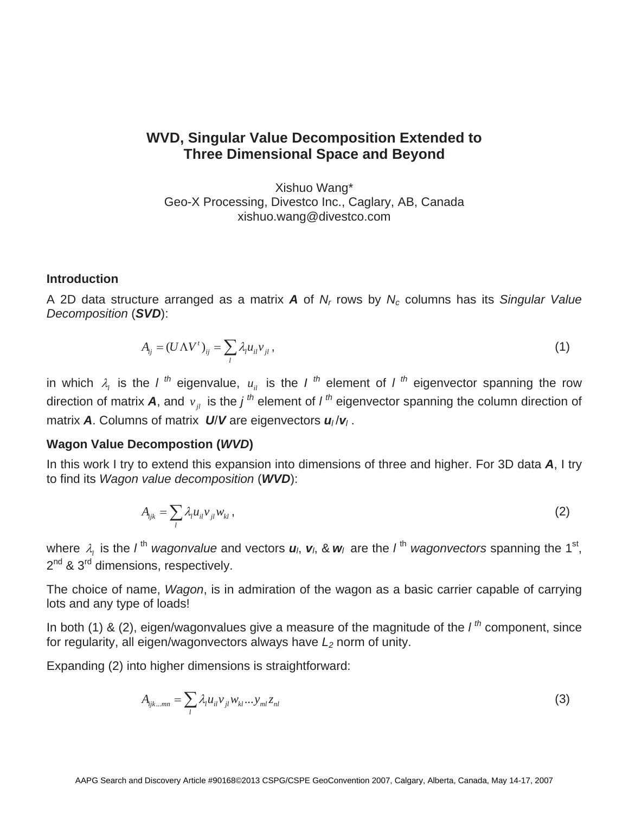# **WVD, Singular Value Decomposition Extended to Three Dimensional Space and Beyond**

Xishuo Wang\* Geo-X Processing, Divestco Inc., Caglary, AB, Canada xishuo.wang@divestco.com

#### **Introduction**

A 2D data structure arranged as a matrix *A* of *Nr* rows by *Nc* columns has its *Singular Value Decomposition* (*SVD*):

$$
A_{ij} = (U\Lambda V^t)_{ij} = \sum_l \lambda_l u_{il} v_{jl}, \qquad (1)
$$

in which  $\lambda_l$  is the *l* <sup>th</sup> eigenvalue,  $u_{il}$  is the *l* <sup>th</sup> element of *l* <sup>th</sup> eigenvector spanning the row direction of matrix **A**, and  $v_{ij}$  is the *j*<sup>th</sup> element of *l*<sup>th</sup> eigenvector spanning the column direction of matrix *A*. Columns of matrix *<sup>U</sup>*/*V* are eigenvectors *u<sup>l</sup>* /*v<sup>l</sup>* .

#### **Wagon Value Decompostion (***WVD***)**

In this work I try to extend this expansion into dimensions of three and higher. For 3D data *A*, I try to find its *Wagon value decomposition* (*WVD*):

$$
A_{ijk} = \sum_{l} \lambda_{l} u_{il} v_{jl} w_{kl}, \qquad (2)
$$

where  $\lambda_i$  is the *l*<sup>th</sup> *wagonvalue* and vectors  $u_i$ ,  $v_i$ , &  $w_i$  are the *l*<sup>th</sup> *wagonvectors* spanning the 1<sup>st</sup>, 2<sup>nd</sup> & 3<sup>rd</sup> dimensions, respectively.

The choice of name, *Wagon*, is in admiration of the wagon as a basic carrier capable of carrying lots and any type of loads!

In both (1) & (2), eigen/wagonvalues give a measure of the magnitude of the *l th* component, since for regularity, all eigen/wagonvectors always have  $L_2$  norm of unity.

Expanding (2) into higher dimensions is straightforward:

$$
A_{ijk\ldots mn} = \sum_{l} \lambda_{l} u_{il} v_{jl} w_{kl} \ldots y_{ml} z_{nl} \tag{3}
$$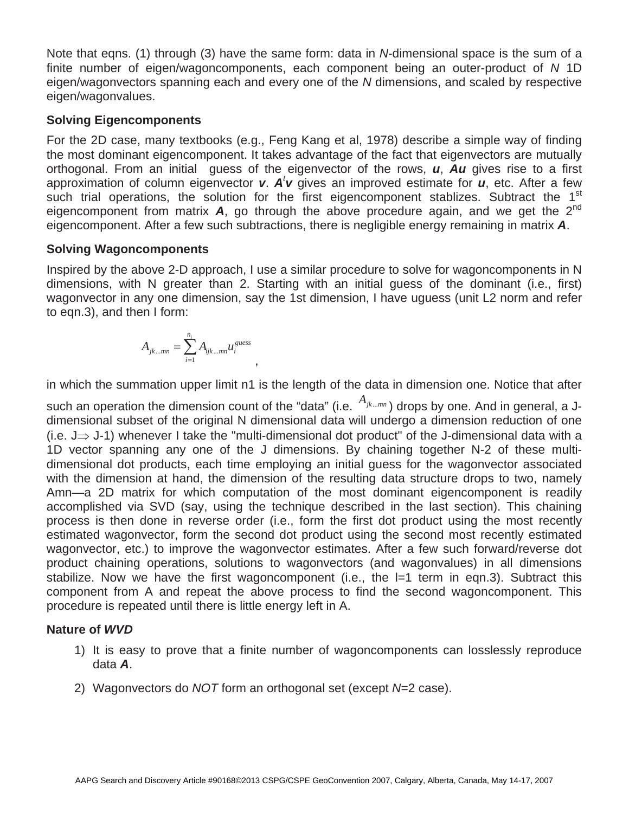Note that eqns. (1) through (3) have the same form: data in *N*-dimensional space is the sum of a finite number of eigen/wagoncomponents, each component being an outer-product of *N* 1D eigen/wagonvectors spanning each and every one of the *N* dimensions, and scaled by respective eigen/wagonvalues.

# **Solving Eigencomponents**

For the 2D case, many textbooks (e.g., Feng Kang et al, 1978) describe a simple way of finding the most dominant eigencomponent. It takes advantage of the fact that eigenvectors are mutually orthogonal. From an initial guess of the eigenvector of the rows, *u*, *Au* gives rise to a first approximation of column eigenvector **v**. A<sup>*t*</sup> v gives an improved estimate for *u*, etc. After a few<br>such trial operations, the solution for the first eigencomponent stablizes. Subtract the 1<sup>st</sup> such trial operations, the solution for the first eigencomponent stablizes. Subtract the  $1<sup>st</sup>$ eigencomponent from matrix  $\bm{A}$ , go through the above procedure again, and we get the  $2^{nd}$ eigencomponent. After a few such subtractions, there is negligible energy remaining in matrix *A*.

# **Solving Wagoncomponents**

Inspired by the above 2-D approach, I use a similar procedure to solve for wagoncomponents in N dimensions, with N greater than 2. Starting with an initial guess of the dominant (i.e., first) wagonvector in any one dimension, say the 1st dimension, I have uguess (unit L2 norm and refer to eqn.3), and then I form:

$$
A_{jk\ldots mn} = \sum_{i=1}^{n_i} A_{ijk\ldots mn} u_i^{guess}
$$

,

in which the summation upper limit n1 is the length of the data in dimension one. Notice that after

such an operation the dimension count of the "data" (i.e.  $A_{jk\ldots mn}$ ) drops by one. And in general, a Jdimensional subset of the original N dimensional data will undergo a dimension reduction of one (i.e.  $J \Rightarrow J$ -1) whenever I take the "multi-dimensional dot product" of the J-dimensional data with a 1D vector spanning any one of the J dimensions. By chaining together N-2 of these multidimensional dot products, each time employing an initial guess for the wagonvector associated with the dimension at hand, the dimension of the resulting data structure drops to two, namely Amn—a 2D matrix for which computation of the most dominant eigencomponent is readily accomplished via SVD (say, using the technique described in the last section). This chaining process is then done in reverse order (i.e., form the first dot product using the most recently estimated wagonvector, form the second dot product using the second most recently estimated wagonvector, etc.) to improve the wagonvector estimates. After a few such forward/reverse dot product chaining operations, solutions to wagonvectors (and wagonvalues) in all dimensions stabilize. Now we have the first wagoncomponent (i.e., the l=1 term in eqn.3). Subtract this component from A and repeat the above process to find the second wagoncomponent. This procedure is repeated until there is little energy left in A.

## **Nature of** *WVD*

- 1) It is easy to prove that a finite number of wagoncomponents can losslessly reproduce data *A*.
- 2) Wagonvectors do *NOT* form an orthogonal set (except *N*=2 case).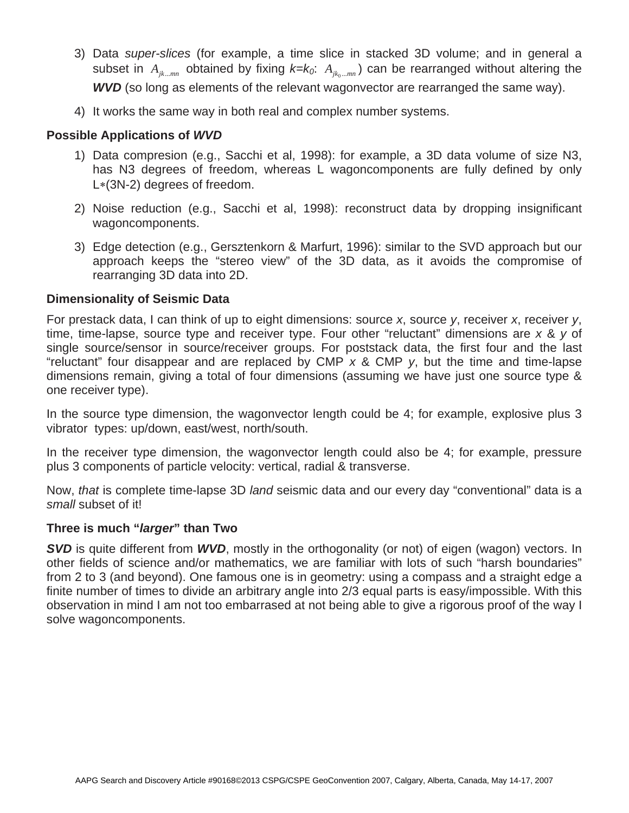- 3) Data *super-slices* (for example, a time slice in stacked 3D volume; and in general a subset in  $A_{ik...mn}$  obtained by fixing  $k=k_0$ :  $A_{ik...mn}$  can be rearranged without altering the *WVD* (so long as elements of the relevant wagonvector are rearranged the same way).
- 4) It works the same way in both real and complex number systems.

### **Possible Applications of** *WVD*

- 1) Data compresion (e.g., Sacchi et al, 1998): for example, a 3D data volume of size N3, has N3 degrees of freedom, whereas L wagoncomponents are fully defined by only  $L*(3N-2)$  degrees of freedom.
- 2) Noise reduction (e.g., Sacchi et al, 1998): reconstruct data by dropping insignificant wagoncomponents.
- 3) Edge detection (e.g., Gersztenkorn & Marfurt, 1996): similar to the SVD approach but our approach keeps the "stereo view" of the 3D data, as it avoids the compromise of rearranging 3D data into 2D.

#### **Dimensionality of Seismic Data**

For prestack data, I can think of up to eight dimensions: source *x*, source *y*, receiver *x*, receiver *y*, time, time-lapse, source type and receiver type. Four other "reluctant" dimensions are *x* & *y* of single source/sensor in source/receiver groups. For poststack data, the first four and the last "reluctant" four disappear and are replaced by CMP *x* & CMP *y*, but the time and time-lapse dimensions remain, giving a total of four dimensions (assuming we have just one source type & one receiver type).

In the source type dimension, the wagonvector length could be 4; for example, explosive plus 3 vibrator types: up/down, east/west, north/south.

In the receiver type dimension, the wagonvector length could also be 4; for example, pressure plus 3 components of particle velocity: vertical, radial & transverse.

Now, *that* is complete time-lapse 3D *land* seismic data and our every day "conventional" data is a *small* subset of it!

#### **Three is much "***larger***" than Two**

*SVD* is quite different from *WVD*, mostly in the orthogonality (or not) of eigen (wagon) vectors. In other fields of science and/or mathematics, we are familiar with lots of such "harsh boundaries" from 2 to 3 (and beyond). One famous one is in geometry: using a compass and a straight edge a finite number of times to divide an arbitrary angle into 2/3 equal parts is easy/impossible. With this observation in mind I am not too embarrased at not being able to give a rigorous proof of the way I solve wagoncomponents.